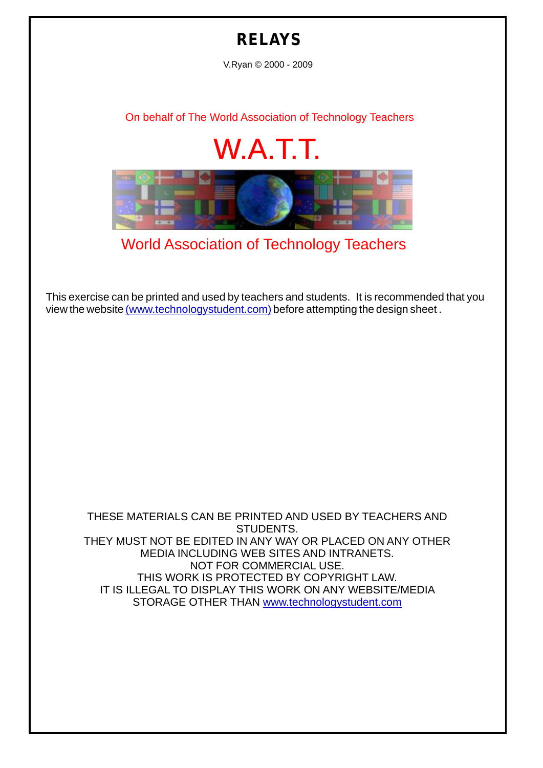## **RELAYS**

V.Ryan © 2000 - 2009

[On behalf of The World Association of Technology Teachers](http://www.technologystudent.com)

## W.A.T.T.



[World Association of Technology Teachers](http://www.technologystudent.com)

[This exercise can be printed and used by teachers and students. It is recommended that you](http://www.technologystudent.com/designpro/drawdex.htm) view the website [\(www.technologystudent.com\)](http://www.technologystudent.com) before attempting the design sheet .

THESE MATERIALS CAN BE PRINTED AND USED BY TEACHERS AND STUDENTS. THEY MUST NOT BE EDITED IN ANY WAY OR PLACED ON ANY OTHER MEDIA INCLUDING WEB SITES AND INTRANETS. NOT FOR COMMERCIAL USE. THIS WORK IS PROTECTED BY COPYRIGHT LAW. IT IS ILLEGAL TO DISPLAY THIS WORK ON ANY WEBSITE/MEDIA STORAGE OTHER THAN [www.technologystudent.com](http://www.technologystudent.com)